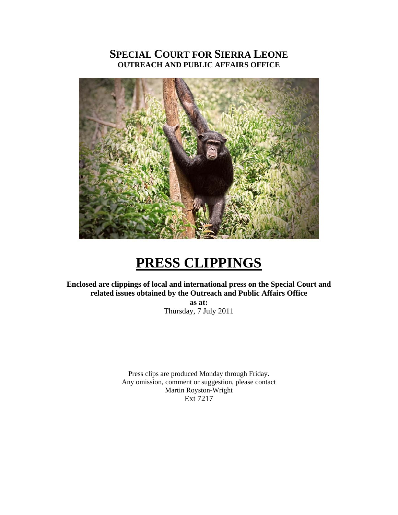# **SPECIAL COURT FOR SIERRA LEONE OUTREACH AND PUBLIC AFFAIRS OFFICE**



# **PRESS CLIPPINGS**

**Enclosed are clippings of local and international press on the Special Court and related issues obtained by the Outreach and Public Affairs Office** 

**as at:**  Thursday, 7 July 2011

Press clips are produced Monday through Friday. Any omission, comment or suggestion, please contact Martin Royston-Wright Ext 7217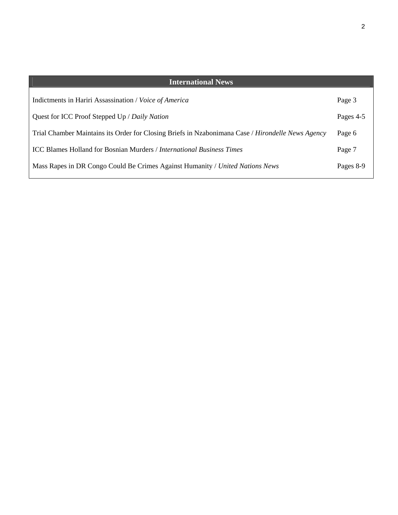| <b>International News</b>                                                                         |           |
|---------------------------------------------------------------------------------------------------|-----------|
| Indictments in Hariri Assassination / Voice of America                                            | Page 3    |
| Quest for ICC Proof Stepped Up / Daily Nation                                                     | Pages 4-5 |
| Trial Chamber Maintains its Order for Closing Briefs in Nzabonimana Case / Hirondelle News Agency | Page 6    |
| <b>ICC Blames Holland for Bosnian Murders / International Business Times</b>                      | Page 7    |
| Mass Rapes in DR Congo Could Be Crimes Against Humanity / United Nations News                     | Pages 8-9 |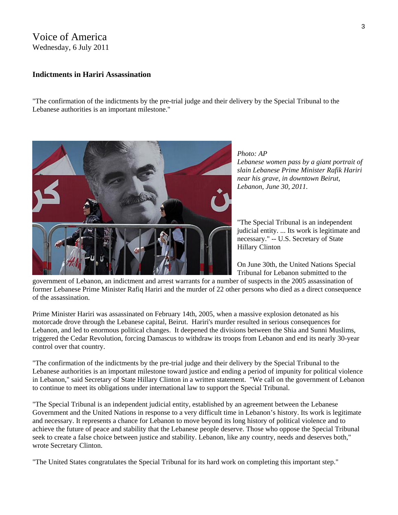## Voice of America Wednesday, 6 July 2011

#### **Indictments in Hariri Assassination**

"The confirmation of the indictments by the pre-trial judge and their delivery by the Special Tribunal to the Lebanese authorities is an important milestone."



*Photo: AP* 

*Lebanese women pass by a giant portrait of slain Lebanese Prime Minister Rafik Hariri near his grave, in downtown Beirut, Lebanon, June 30, 2011.* 

"The Special Tribunal is an independent judicial entity. ... Its work is legitimate and necessary." -- U.S. Secretary of State Hillary Clinton

On June 30th, the United Nations Special Tribunal for Lebanon submitted to the

government of Lebanon, an indictment and arrest warrants for a number of suspects in the 2005 assassination of former Lebanese Prime Minister Rafiq Hariri and the murder of 22 other persons who died as a direct consequence of the assassination.

Prime Minister Hariri was assassinated on February 14th, 2005, when a massive explosion detonated as his motorcade drove through the Lebanese capital, Beirut. Hariri's murder resulted in serious consequences for Lebanon, and led to enormous political changes. It deepened the divisions between the Shia and Sunni Muslims, triggered the Cedar Revolution, forcing Damascus to withdraw its troops from Lebanon and end its nearly 30-year control over that country.

"The confirmation of the indictments by the pre-trial judge and their delivery by the Special Tribunal to the Lebanese authorities is an important milestone toward justice and ending a period of impunity for political violence in Lebanon," said Secretary of State Hillary Clinton in a written statement. "We call on the government of Lebanon to continue to meet its obligations under international law to support the Special Tribunal.

"The Special Tribunal is an independent judicial entity, established by an agreement between the Lebanese Government and the United Nations in response to a very difficult time in Lebanon's history. Its work is legitimate and necessary. It represents a chance for Lebanon to move beyond its long history of political violence and to achieve the future of peace and stability that the Lebanese people deserve. Those who oppose the Special Tribunal seek to create a false choice between justice and stability. Lebanon, like any country, needs and deserves both," wrote Secretary Clinton.

"The United States congratulates the Special Tribunal for its hard work on completing this important step."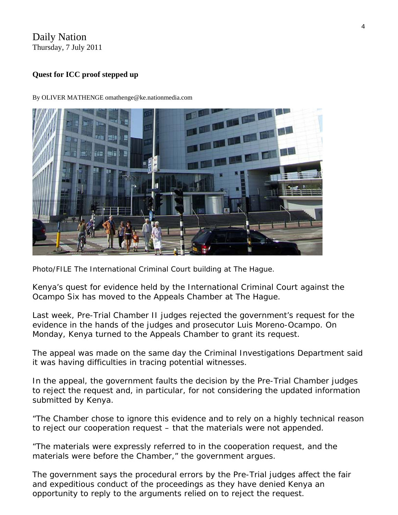# Daily Nation Thursday, 7 July 2011

# **Quest for ICC proof stepped up**



By OLIVER MATHENGE omathenge@ke.nationmedia.com

*Photo/FILE The International Criminal Court building at The Hague.* 

Kenya's quest for evidence held by the International Criminal Court against the Ocampo Six has moved to the Appeals Chamber at The Hague.

Last week, Pre-Trial Chamber II judges [rejected the government's request](http://www.nation.co.ke/News/Appeal+for+ICC+evidence+rejected+/-/1056/1192414/-/m5c054/-/index.html) for the evidence in the hands of the judges and prosecutor Luis Moreno-Ocampo. On Monday, Kenya turned to the Appeals Chamber to grant its request.

The appeal was made on the same day the Criminal Investigations Department said it was having difficulties in tracing potential witnesses.

In the appeal, the government faults the decision by the Pre-Trial Chamber judges to reject the request and, in particular, for not considering the updated information submitted by Kenya.

"The Chamber chose to ignore this evidence and to rely on a highly technical reason to reject our cooperation request – that the materials were not appended.

"The materials were expressly referred to in the cooperation request, and the materials were before the Chamber," the government argues.

The government says the procedural errors by the Pre-Trial judges affect the fair and expeditious conduct of the proceedings as they have denied Kenya an opportunity to reply to the arguments relied on to reject the request.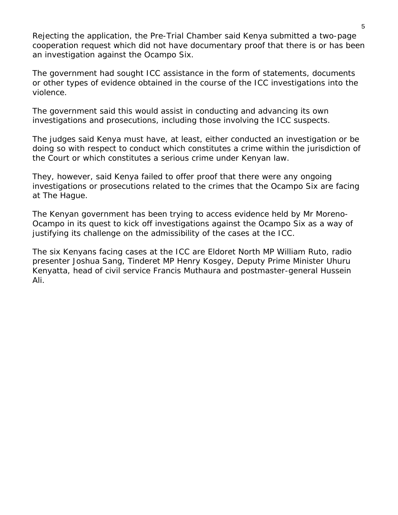Rejecting the application, the Pre-Trial Chamber said Kenya submitted a two-page cooperation request which did not have documentary proof that there is or has been an investigation against the Ocampo Six.

The government had sought ICC assistance in the form of statements, documents or other types of evidence obtained in the course of the ICC investigations into the violence.

The government said this would assist in conducting and advancing its own investigations and prosecutions, including those involving the ICC suspects.

The judges said Kenya must have, at least, either conducted an investigation or be doing so with respect to conduct which constitutes a crime within the jurisdiction of the Court or which constitutes a serious crime under Kenyan law.

They, however, said Kenya failed to offer proof that there were any ongoing investigations or prosecutions related to the crimes that the Ocampo Six are facing at The Hague.

The Kenyan government has been trying to access evidence held by Mr Moreno-Ocampo in its quest to kick off investigations against the Ocampo Six as a way of justifying its challenge on the admissibility of the cases at the ICC.

The six Kenyans facing cases at the ICC are Eldoret North MP William Ruto, radio presenter Joshua Sang, Tinderet MP Henry Kosgey, Deputy Prime Minister Uhuru Kenyatta, head of civil service Francis Muthaura and postmaster-general Hussein Ali.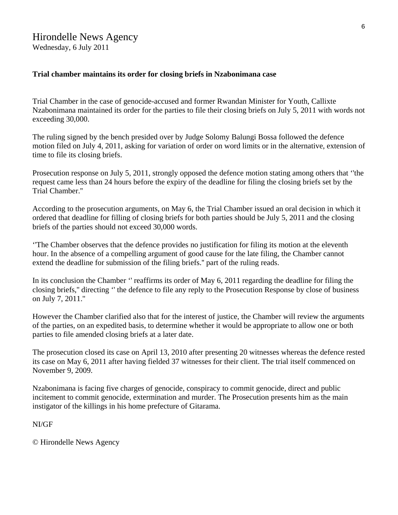#### **Trial chamber maintains its order for closing briefs in Nzabonimana case**

Trial Chamber in the case of genocide-accused and former Rwandan Minister for Youth, Callixte Nzabonimana maintained its order for the parties to file their closing briefs on July 5, 2011 with words not exceeding 30,000.

The ruling signed by the bench presided over by Judge Solomy Balungi Bossa followed the defence motion filed on July 4, 2011, asking for variation of order on word limits or in the alternative, extension of time to file its closing briefs.

Prosecution response on July 5, 2011, strongly opposed the defence motion stating among others that ''the request came less than 24 hours before the expiry of the deadline for filing the closing briefs set by the Trial Chamber.''

According to the prosecution arguments, on May 6, the Trial Chamber issued an oral decision in which it ordered that deadline for filling of closing briefs for both parties should be July 5, 2011 and the closing briefs of the parties should not exceed 30,000 words.

''The Chamber observes that the defence provides no justification for filing its motion at the eleventh hour. In the absence of a compelling argument of good cause for the late filing, the Chamber cannot extend the deadline for submission of the filing briefs.'' part of the ruling reads.

In its conclusion the Chamber '' reaffirms its order of May 6, 2011 regarding the deadline for filing the closing briefs,'' directing '' the defence to file any reply to the Prosecution Response by close of business on July 7, 2011.''

However the Chamber clarified also that for the interest of justice, the Chamber will review the arguments of the parties, on an expedited basis, to determine whether it would be appropriate to allow one or both parties to file amended closing briefs at a later date.

The prosecution closed its case on April 13, 2010 after presenting 20 witnesses whereas the defence rested its case on May 6, 2011 after having fielded 37 witnesses for their client. The trial itself commenced on November 9, 2009.

Nzabonimana is facing five charges of genocide, conspiracy to commit genocide, direct and public incitement to commit genocide, extermination and murder. The Prosecution presents him as the main instigator of the killings in his home prefecture of Gitarama.

NI/GF

© Hirondelle News Agency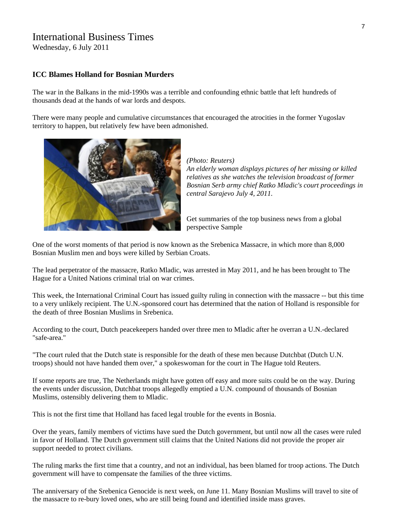# International Business Times

Wednesday, 6 July 2011

#### **[ICC Blames Holland for Bosnian Murders](http://www.ibtimes.com/articles/175415/20110706/holland-srebenica-ratko-mladic-icc-un-united-nations.htm)**

The war in the Balkans in the mid-1990s was a terrible and confounding ethnic battle that left hundreds of thousands dead at the hands of war lords and despots.

There were many people and cumulative circumstances that encouraged the atrocities in the former Yugoslav territory to happen, but relatively few have been admonished.



*(Photo: Reuters) An elderly woman displays pictures of her missing or killed relatives as she watches the television broadcast of former Bosnian Serb army chief Ratko Mladic's court proceedings in central Sarajevo July 4, 2011.* 

Get summaries of the top business news from a global perspective [Sample](http://www.ibtimes.com/newsletters/world.htm) 

One of the worst moments of that period is now known as the Srebenica Massacre, in which more than 8,000 Bosnian Muslim men and boys were killed by Serbian Croats.

The lead perpetrator of the massacre, Ratko Mladic, was arrested in May 2011, and he has been brought to The Hague for a [United Nations](http://www.ibtimes.com/topics/detail/391/united-nations/) criminal trial on war crimes.

This week, the International Criminal [Court](http://www.ibtimes.com/topics/detail/388/court/) has issued guilty ruling in connection with the massacre -- but this time to a very unlikely recipient. The U.N.-sponsored court has determined that the nation of Holland is responsible for the death of three Bosnian Muslims in Srebenica.

According to the court, Dutch peacekeepers handed over three men to Mladic after he overran a U.N.-declared "safe-area."

"The court ruled that the Dutch state is responsible for the death of these men because Dutchbat (Dutch U.N. troops) should not have handed them over," a spokeswoman for the court in The Hague told Reuters.

If some reports are true, The Netherlands might have gotten off easy and more suits could be on the way. During the events under discussion, Dutchbat troops allegedly emptied a U.N. compound of thousands of Bosnian Muslims, ostensibly delivering them to Mladic.

This is not the first time that Holland has faced legal trouble for the events in Bosnia.

Over the years, family members of victims have sued the Dutch government, but until now all the cases were ruled in favor of Holland. The Dutch government still claims that the [United Nations](http://www.ibtimes.com/topics/detail/391/united-nations/) did not provide the proper air support needed to protect civilians.

The ruling marks the first time that a country, and not an individual, has been blamed for troop actions. The Dutch government will have to compensate the families of the three victims.

The anniversary of the Srebenica Genocide is next week, on June 11. Many Bosnian Muslims will travel to site of the massacre to re-bury loved ones, who are still being found and identified inside mass graves.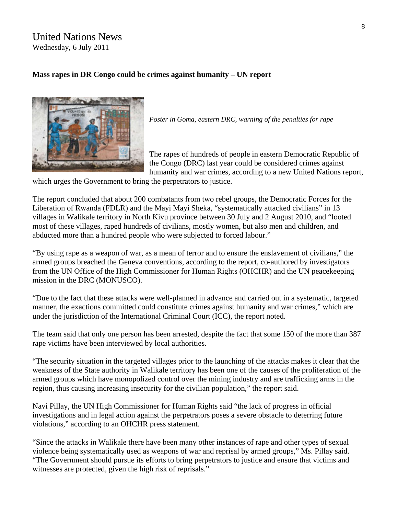### United Nations News Wednesday, 6 July 2011

#### **Mass rapes in DR Congo could be crimes against humanity – UN report**



*Poster in Goma, eastern DRC, warning of the penalties for rape* 

The rapes of hundreds of people in eastern Democratic Republic of the Congo (DRC) last year could be considered crimes against humanity and war crimes, according to a new United Nations [report](http://www.ohchr.org/Documents/Countries/ZR/BCNUDHRapportViolsMassifsKibuaMpofi_en.pdf),

which urges the Government to bring the perpetrators to justice.

The report [concluded](http://www.ohchr.org/en/NewsEvents/Pages/DisplayNews.aspx?NewsID=11206&LangID=E) that about 200 combatants from two rebel groups, the Democratic Forces for the Liberation of Rwanda (FDLR) and the Mayi Mayi Sheka, "systematically attacked civilians" in 13 villages in Walikale territory in North Kivu province between 30 July and 2 August 2010, and "looted most of these villages, raped hundreds of civilians, mostly women, but also men and children, and abducted more than a hundred people who were subjected to forced labour."

"By using rape as a weapon of war, as a mean of terror and to ensure the enslavement of civilians," the armed groups breached the Geneva conventions, according to the report, co-authored by investigators from the UN Office of the High Commissioner for Human Rights [\(OHCHR](http://www.ohchr.org/EN/Pages/WelcomePage.aspx)) and the UN peacekeeping mission in the DRC ([MONUSCO\)](http://www.un.org/en/peacekeeping/missions/monusco/).

"Due to the fact that these attacks were well-planned in advance and carried out in a systematic, targeted manner, the exactions committed could constitute crimes against humanity and war crimes," which are under the jurisdiction of the International Criminal Court (ICC), the report noted.

The team said that only one person has been arrested, despite the fact that some 150 of the more than 387 rape victims have been interviewed by local authorities.

"The security situation in the targeted villages prior to the launching of the attacks makes it clear that the weakness of the State authority in Walikale territory has been one of the causes of the proliferation of the armed groups which have monopolized control over the mining industry and are trafficking arms in the region, thus causing increasing insecurity for the civilian population," the report said.

Navi Pillay, the UN High Commissioner for Human Rights said "the lack of progress in official investigations and in legal action against the perpetrators poses a severe obstacle to deterring future violations," according to an OHCHR press statement.

"Since the attacks in Walikale there have been many other instances of rape and other types of sexual violence being systematically used as weapons of war and reprisal by armed groups," Ms. Pillay said. "The Government should pursue its efforts to bring perpetrators to justice and ensure that victims and witnesses are protected, given the high risk of reprisals."